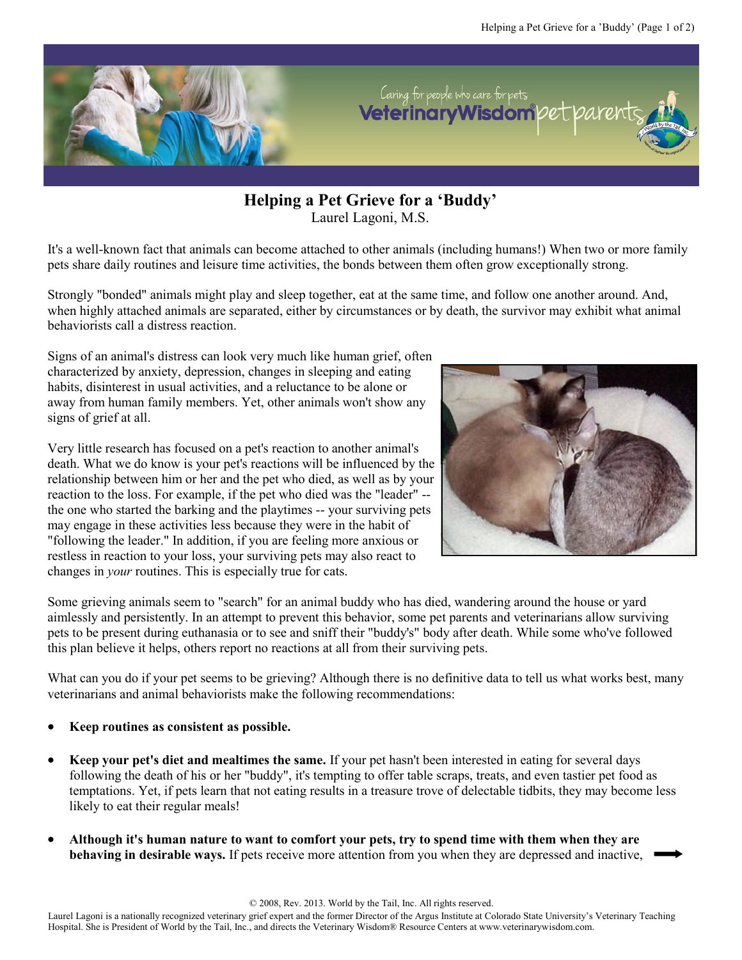

**Helping a Pet Grieve for a 'Buddy'** Laurel Lagoni, M.S.

It's a well-known fact that animals can become attached to other animals (including humans!) When two or more family pets share daily routines and leisure time activities, the bonds between them often grow exceptionally strong.

Strongly "bonded" animals might play and sleep together, eat at the same time, and follow one another around. And, when highly attached animals are separated, either by circumstances or by death, the survivor may exhibit what animal behaviorists call a distress reaction.

Signs of an animal's distress can look very much like human grief, often characterized by anxiety, depression, changes in sleeping and eating habits, disinterest in usual activities, and a reluctance to be alone or away from human family members. Yet, other animals won't show any signs of grief at all.

Very little research has focused on a pet's reaction to another animal's death. What we do know is your pet's reactions will be influenced by the relationship between him or her and the pet who died, as well as by your reaction to the loss. For example, if the pet who died was the "leader" - the one who started the barking and the playtimes -- your surviving pets may engage in these activities less because they were in the habit of "following the leader." In addition, if you are feeling more anxious or restless in reaction to your loss, your surviving pets may also react to changes in *your* routines. This is especially true for cats.



Some grieving animals seem to "search" for an animal buddy who has died, wandering around the house or yard aimlessly and persistently. In an attempt to prevent this behavior, some pet parents and veterinarians allow surviving pets to be present during euthanasia or to see and sniff their "buddy's" body after death. While some who've followed this plan believe it helps, others report no reactions at all from their surviving pets.

What can you do if your pet seems to be grieving? Although there is no definitive data to tell us what works best, many veterinarians and animal behaviorists make the following recommendations:

- **Keep routines as consistent as possible.**
- **Keep your pet's diet and mealtimes the same.** If your pet hasn't been interested in eating for several days following the death of his or her "buddy", it's tempting to offer table scraps, treats, and even tastier pet food as temptations. Yet, if pets learn that not eating results in a treasure trove of delectable tidbits, they may become less likely to eat their regular meals!
- **Although it's human nature to want to comfort your pets, try to spend time with them when they are behaving in desirable ways.** If pets receive more attention from you when they are depressed and inactive,

Laurel Lagoni is a nationally recognized veterinary grief expert and the former Director of the Argus Institute at Colorado State University's Veterinary Teaching Hospital. She is President of World by the Tail, Inc., and directs the Veterinary Wisdom® Resource Centers at www.veterinarywisdom.com.